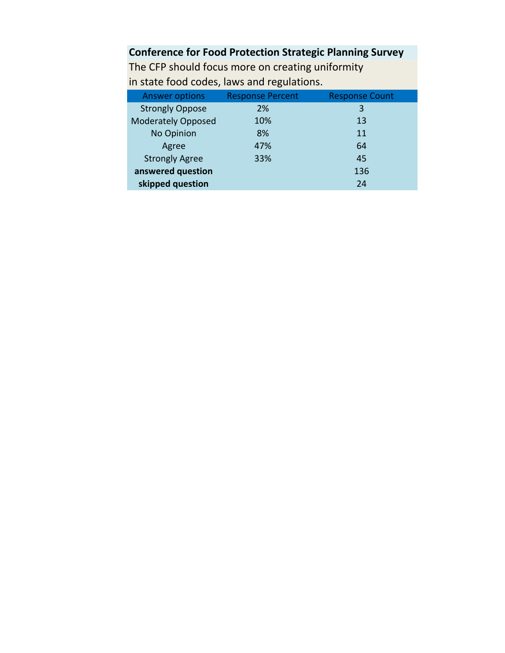| <b>Conference for Food Protection Strategic Planning Survey</b> |                         |                       |  |
|-----------------------------------------------------------------|-------------------------|-----------------------|--|
| The CFP should focus more on creating uniformity                |                         |                       |  |
| in state food codes, laws and regulations.                      |                         |                       |  |
| Answer options                                                  | <b>Response Percent</b> | <b>Response Count</b> |  |
| <b>Strongly Oppose</b>                                          | 2%                      | 3                     |  |
| <b>Moderately Opposed</b>                                       | 10%                     | 13                    |  |
| <b>No Opinion</b>                                               | 8%                      | 11                    |  |
| Agree                                                           | 47%                     | 64                    |  |
| <b>Strongly Agree</b>                                           | 33%                     | 45                    |  |
| answered question<br>136                                        |                         |                       |  |
| skipped question                                                |                         | 24                    |  |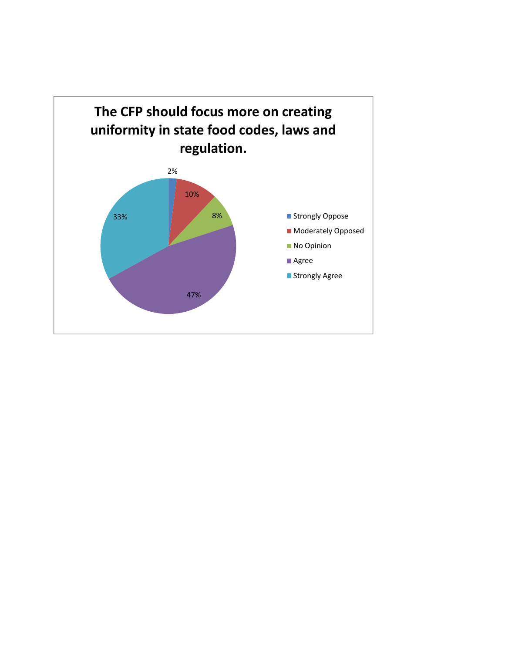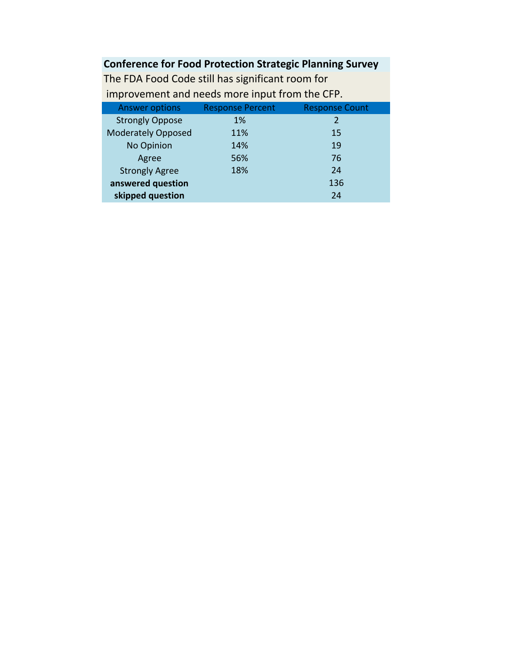| <b>Conference for Food Protection Strategic Planning Survey</b> |                                                  |                |  |  |
|-----------------------------------------------------------------|--------------------------------------------------|----------------|--|--|
| The FDA Food Code still has significant room for                |                                                  |                |  |  |
| improvement and needs more input from the CFP.                  |                                                  |                |  |  |
| Answer options                                                  | <b>Response Percent</b><br><b>Response Count</b> |                |  |  |
| <b>Strongly Oppose</b>                                          | 1%                                               | $\mathfrak{p}$ |  |  |
| <b>Moderately Opposed</b>                                       | 11%                                              | 15             |  |  |
| <b>No Opinion</b>                                               | 14%                                              | 19             |  |  |
| Agree                                                           | 56%                                              | 76             |  |  |
| <b>Strongly Agree</b>                                           | 18%                                              | 24             |  |  |
| answered question<br>136                                        |                                                  |                |  |  |
| skipped question<br>24                                          |                                                  |                |  |  |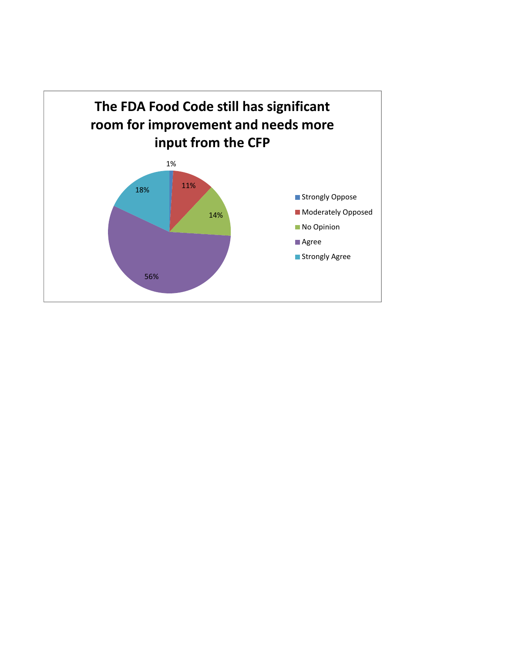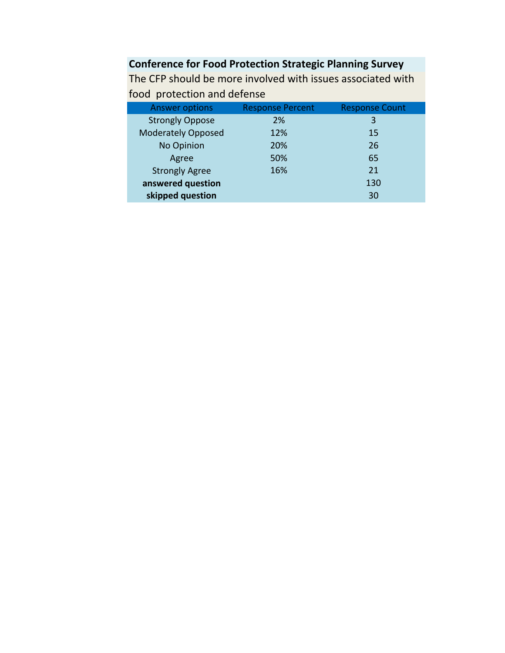| <b>Answer options</b>     | <b>Response Percent</b> | <b>Response Count</b> |  |
|---------------------------|-------------------------|-----------------------|--|
| <b>Strongly Oppose</b>    | 2%                      | 3                     |  |
| <b>Moderately Opposed</b> | 12%                     | 15                    |  |
| No Opinion                | 20%                     | 26                    |  |
| Agree                     | 50%                     | 65                    |  |
| <b>Strongly Agree</b>     | 16%                     | 21                    |  |
| answered question         |                         | 130                   |  |
| skipped question          |                         | 30                    |  |
|                           |                         |                       |  |

The CFP should be more involved with issues associated with food protection and defense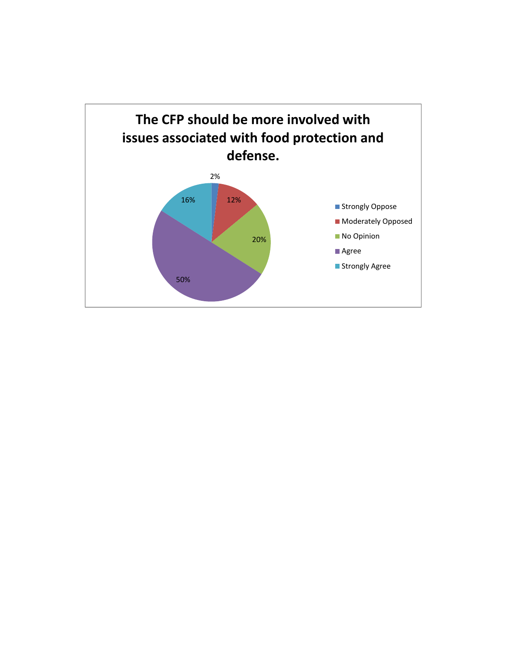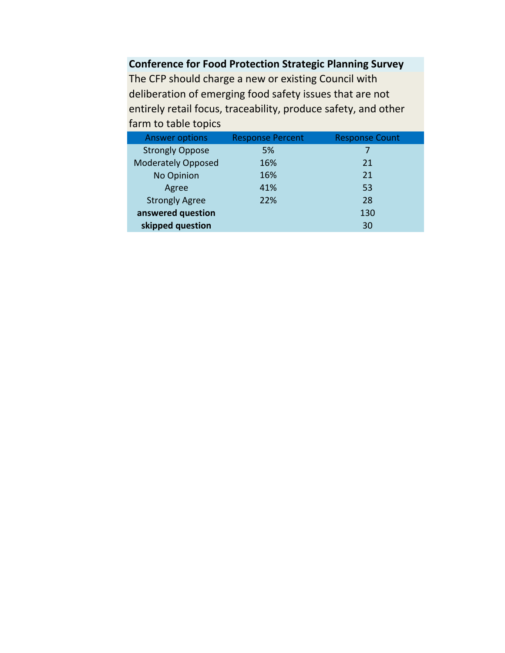The CFP should charge a new or existing Council with deliberation of emerging food safety issues that are not farm to table topics entirely retail focus, traceability, produce safety, and other

| <b>Answer options</b>     | <b>Response Percent</b> | <b>Response Count</b> |
|---------------------------|-------------------------|-----------------------|
| <b>Strongly Oppose</b>    | 5%                      |                       |
| <b>Moderately Opposed</b> | 16%                     | 21                    |
| No Opinion                | 16%                     | 21                    |
| Agree                     | 41%                     | 53                    |
| <b>Strongly Agree</b>     | 22%                     | 28                    |
| answered question         |                         | 130                   |
| skipped question          |                         | 30                    |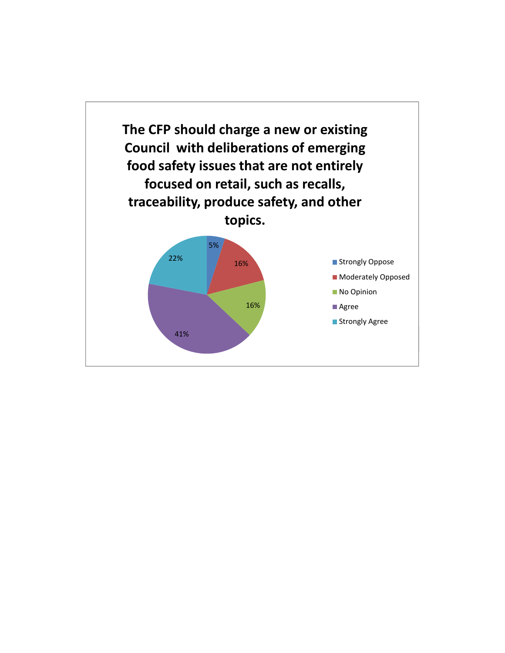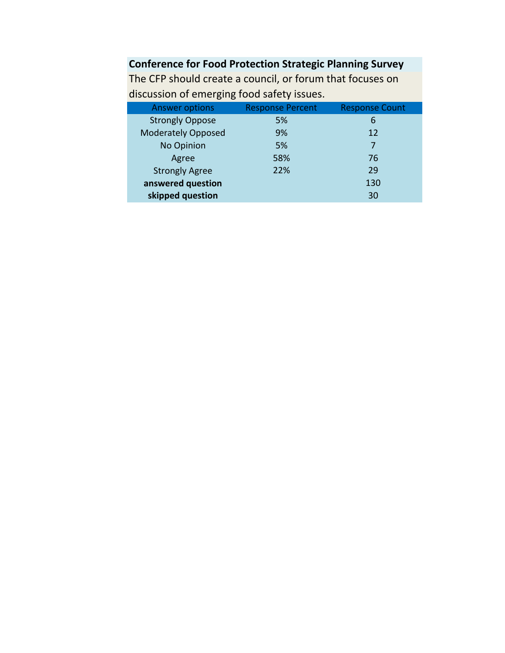**Conference for Food Protection Strategic Planning Survey** The CFP should create a council, or forum that focuses on discussion of emerging food safety issues.

| <b>Answer options</b>     | <b>Response Percent</b> | <b>Response Count</b> |
|---------------------------|-------------------------|-----------------------|
| <b>Strongly Oppose</b>    | 5%                      | 6                     |
| <b>Moderately Opposed</b> | 9%                      | 12                    |
| <b>No Opinion</b>         | 5%                      |                       |
| Agree                     | 58%                     | 76                    |
| <b>Strongly Agree</b>     | 22%                     | 29                    |
| answered question         |                         | 130                   |
| skipped question          |                         | 30                    |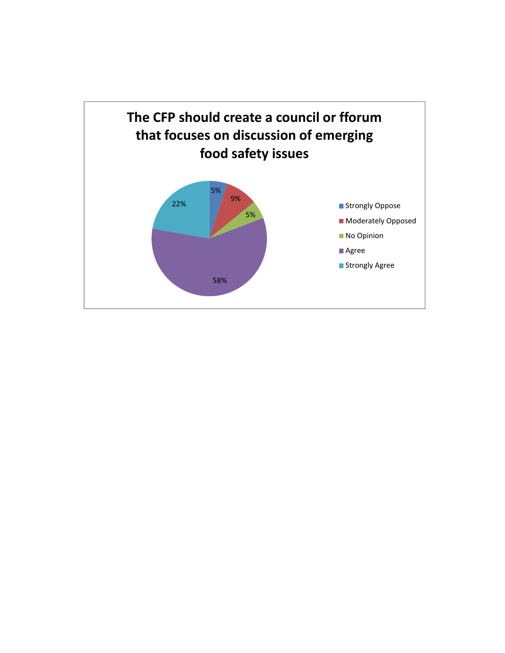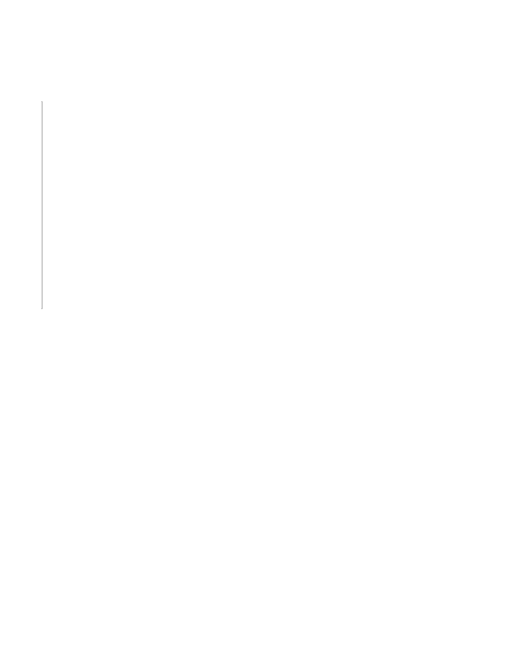**The CFP should create a council or fforum** Strongly Oppose Moderately Opposed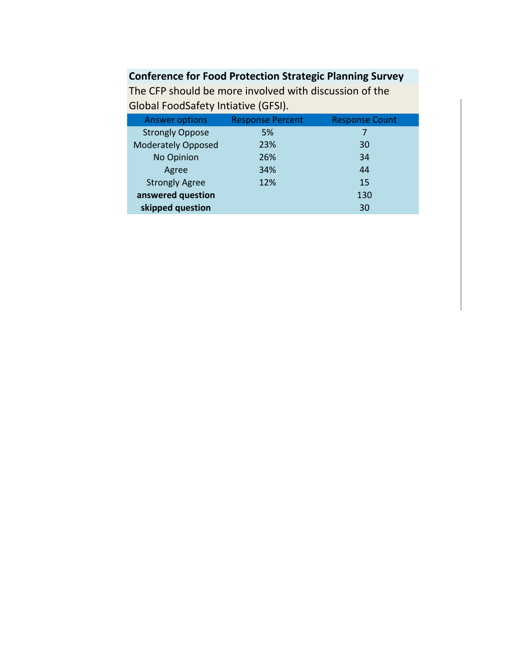The CFP should be more involved with discussion of the Global FoodSafety Intiative (GFSI).

| <b>Answer options</b>     | <b>Response Percent</b> | <b>Response Count</b> |
|---------------------------|-------------------------|-----------------------|
| <b>Strongly Oppose</b>    | 5%                      |                       |
| <b>Moderately Opposed</b> | 23%                     | 30                    |
| No Opinion                | 26%                     | 34                    |
| Agree                     | 34%                     | 44                    |
| <b>Strongly Agree</b>     | 12%                     | 15                    |
| answered question         |                         | 130                   |
| skipped question          |                         | 30                    |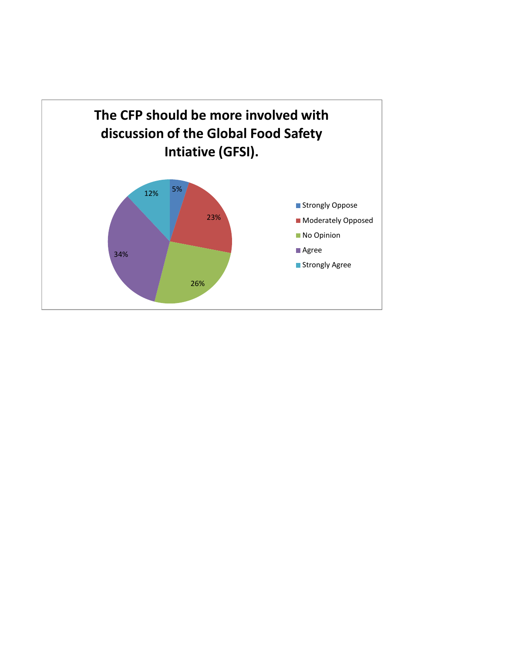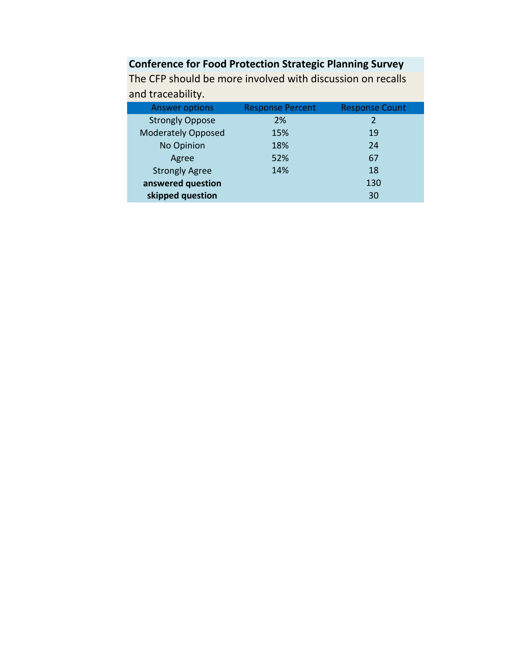The CFP should be more involved with discussion on recalls and traceability.

| <b>Answer options</b>     | <b>Response Percent</b> | <b>Response Count</b> |
|---------------------------|-------------------------|-----------------------|
| <b>Strongly Oppose</b>    | 2%                      | 2                     |
| <b>Moderately Opposed</b> | 15%                     | 19                    |
| No Opinion                | 18%                     | 24                    |
| Agree                     | 52%                     | 67                    |
| <b>Strongly Agree</b>     | 14%                     | 18                    |
| answered question         |                         | 130                   |
| skipped question          |                         | 30                    |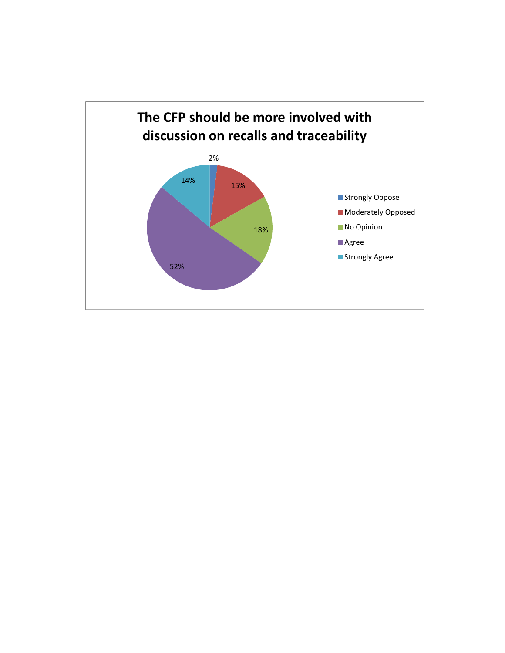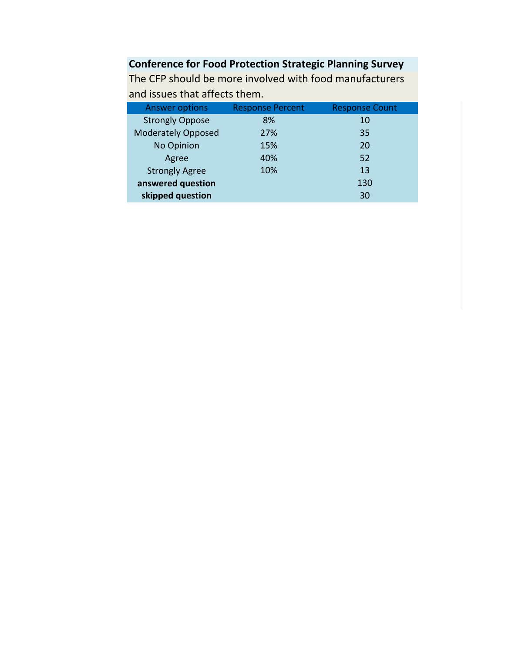| <b>Answer options</b>     | <b>Response Percent</b> | <b>Response Count</b> |
|---------------------------|-------------------------|-----------------------|
| <b>Strongly Oppose</b>    | 8%                      | 10                    |
| <b>Moderately Opposed</b> | 27%                     | 35                    |
| No Opinion                | 15%                     | 20                    |
| Agree                     | 40%                     | 52                    |
| <b>Strongly Agree</b>     | 10%                     | 13                    |
| answered question         |                         | 130                   |
| skipped question          |                         | 30                    |

and issues that affects them. The CFP should be more involved with food manufacturers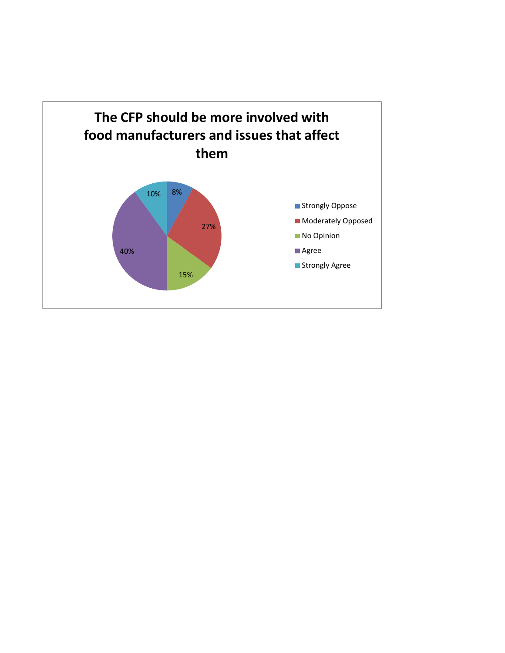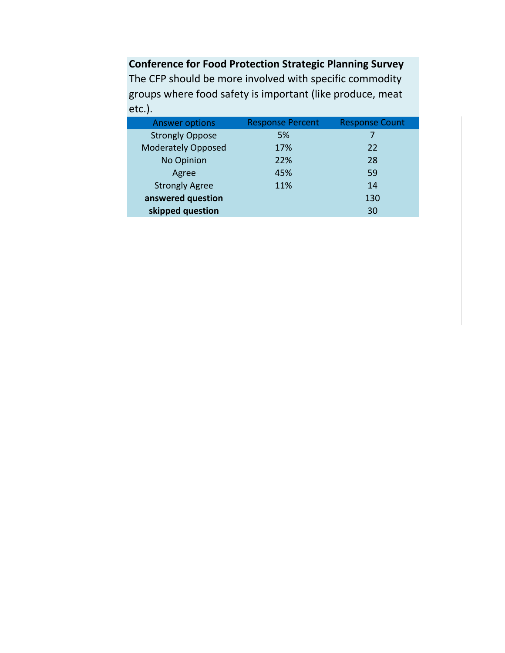groups where food safety is important (like produce, meat etc.). **Conference for Food Protection Strategic Planning Survey** The CFP should be more involved with specific commodity

| <b>Answer options</b>     | <b>Response Percent</b> | <b>Response Count</b> |
|---------------------------|-------------------------|-----------------------|
| <b>Strongly Oppose</b>    | 5%                      |                       |
| <b>Moderately Opposed</b> | 17%                     | 22                    |
| <b>No Opinion</b>         | 22%                     | 28                    |
| Agree                     | 45%                     | 59                    |
| <b>Strongly Agree</b>     | 11%                     | 14                    |
| answered question         |                         | 130                   |
| skipped question          |                         | 30                    |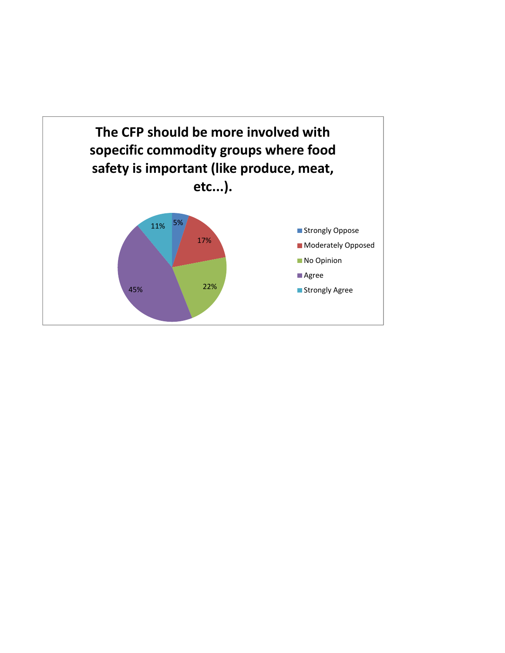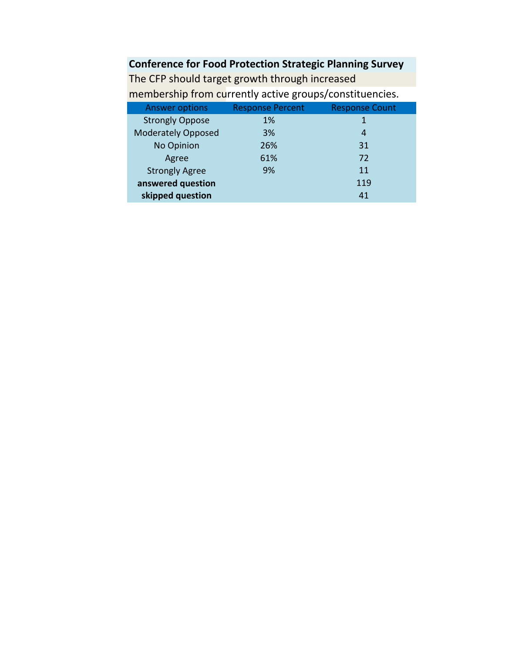| <b>Conference for Food Protection Strategic Planning Survey</b> |  |  |  |
|-----------------------------------------------------------------|--|--|--|
| The CFP should target growth through increased                  |  |  |  |
| membership from currently active groups/constituencies.         |  |  |  |
|                                                                 |  |  |  |

| <b>Answer options</b>     | <b>Response Percent</b> | <b>Response Count</b> |
|---------------------------|-------------------------|-----------------------|
| <b>Strongly Oppose</b>    | 1%                      |                       |
| <b>Moderately Opposed</b> | 3%                      | 4                     |
| No Opinion                | 26%                     | 31                    |
| Agree                     | 61%                     | 72                    |
| <b>Strongly Agree</b>     | 9%                      | 11                    |
| answered question         |                         | 119                   |
| skipped question          |                         | 41                    |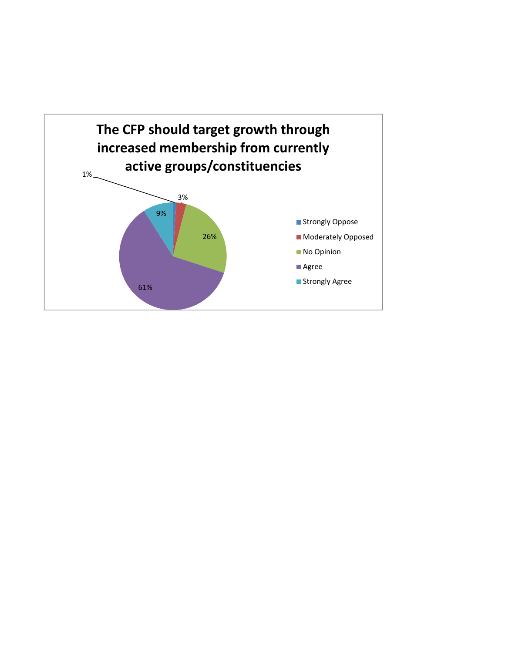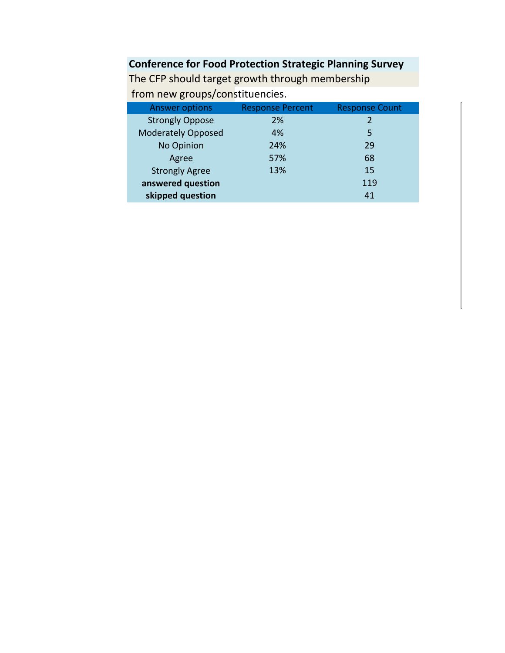| <b>ITOIII HEW Groups/CONSULUENCIES.</b> |                         |                       |
|-----------------------------------------|-------------------------|-----------------------|
| <b>Answer options</b>                   | <b>Response Percent</b> | <b>Response Count</b> |
| <b>Strongly Oppose</b>                  | 2%                      |                       |
| <b>Moderately Opposed</b>               | 4%                      | 5                     |
| No Opinion                              | 24%                     | 29                    |
| Agree                                   | 57%                     | 68                    |
| <b>Strongly Agree</b>                   | 13%                     | 15                    |
| answered question                       |                         | 119                   |
| skipped question                        |                         | 41                    |
|                                         |                         |                       |

 from new groups/constituencies. The CFP should target growth through membership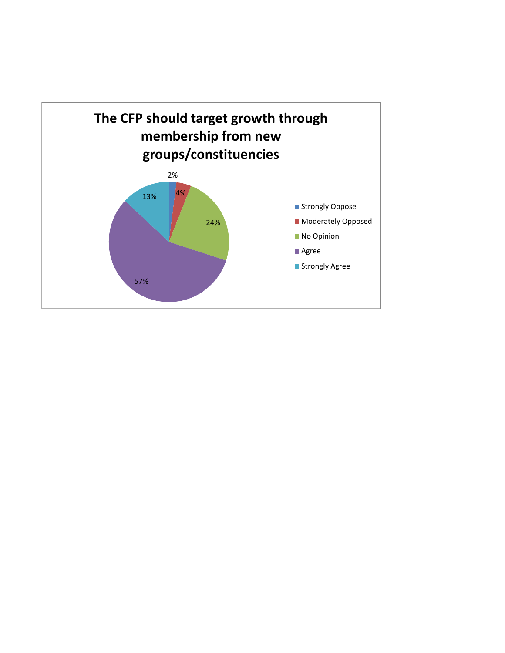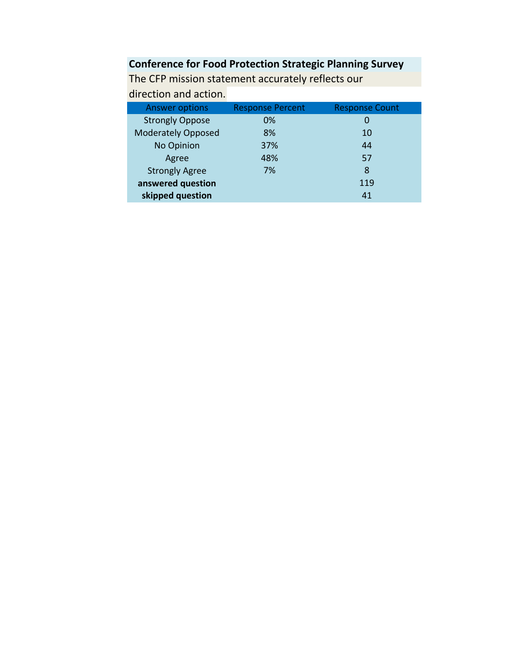| direction and action.     |                         |                       |
|---------------------------|-------------------------|-----------------------|
| <b>Answer options</b>     | <b>Response Percent</b> | <b>Response Count</b> |
| <b>Strongly Oppose</b>    | $0\%$                   | 0                     |
| <b>Moderately Opposed</b> | 8%                      | 10                    |
| No Opinion                | 37%                     | 44                    |
| Agree                     | 48%                     | 57                    |
| <b>Strongly Agree</b>     | 7%                      | 8                     |
| answered question         |                         | 119                   |
| skipped question          |                         | 41                    |

The CFP mission statement accurately reflects our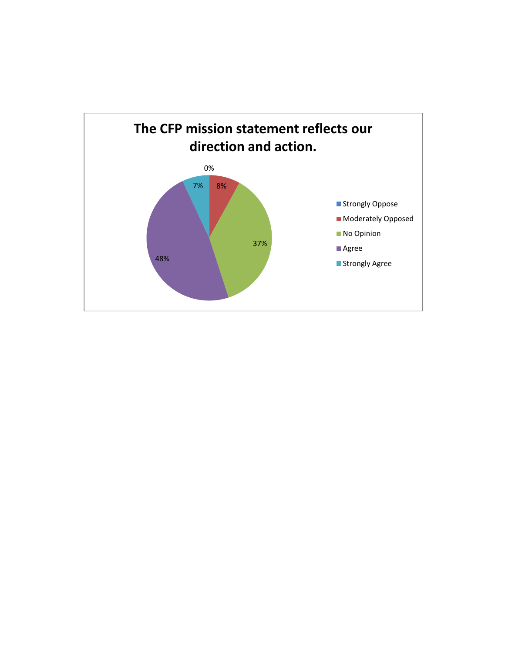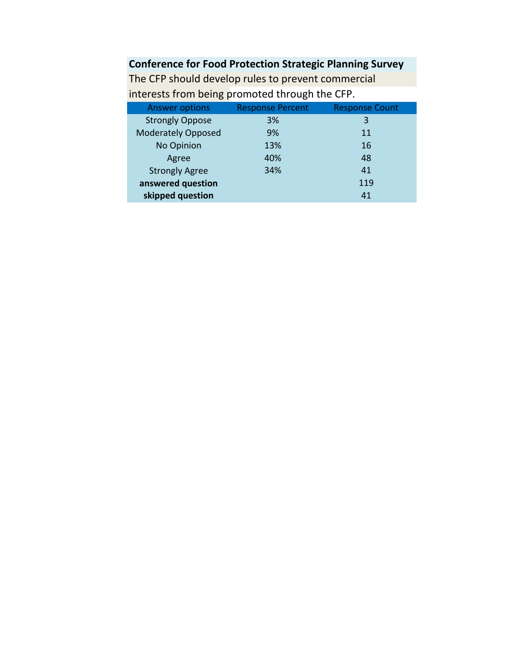interests from being promoted through the CFP. **Conference for Food Protection Strategic Planning Survey** The CFP should develop rules to prevent commercial

| <b>Answer options</b>     | <b>Response Percent</b> | <b>Response Count</b> |
|---------------------------|-------------------------|-----------------------|
| <b>Strongly Oppose</b>    | 3%                      | 3                     |
| <b>Moderately Opposed</b> | 9%                      | 11                    |
| No Opinion                | 13%                     | 16                    |
| Agree                     | 40%                     | 48                    |
| <b>Strongly Agree</b>     | 34%                     | 41                    |
| answered question         |                         | 119                   |
| skipped question          |                         | 41                    |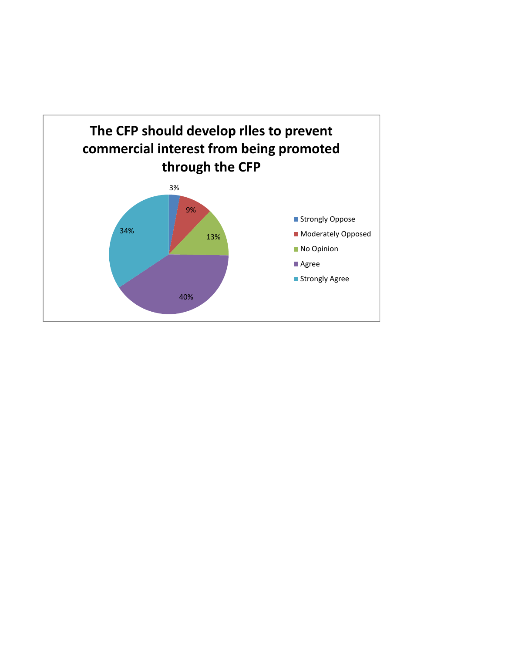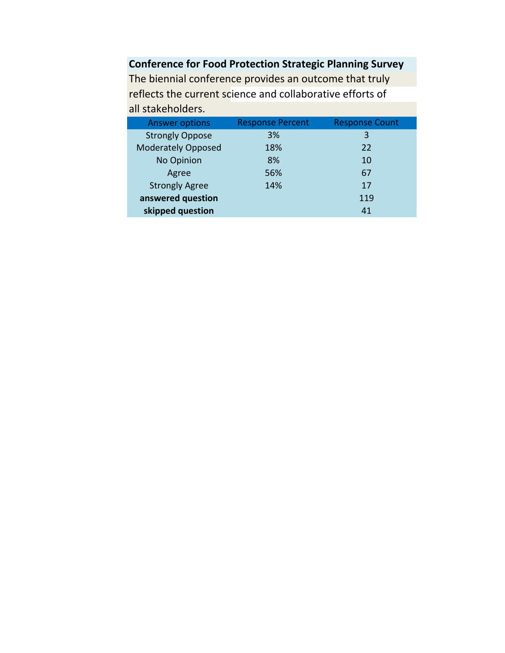reflects the current science and collaborative efforts of all stakeholders. **Conference for Food Protection Strategic Planning Survey** The biennial conference provides an outcome that truly

| <b>Answer options</b>     | <b>Response Percent</b> | <b>Response Count</b> |
|---------------------------|-------------------------|-----------------------|
| <b>Strongly Oppose</b>    | 3%                      | 3                     |
| <b>Moderately Opposed</b> | 18%                     | 22                    |
| No Opinion                | 8%                      | 10                    |
| Agree                     | 56%                     | 67                    |
| <b>Strongly Agree</b>     | 14%                     | 17                    |
| answered question         |                         | 119                   |
| skipped question          |                         | 41                    |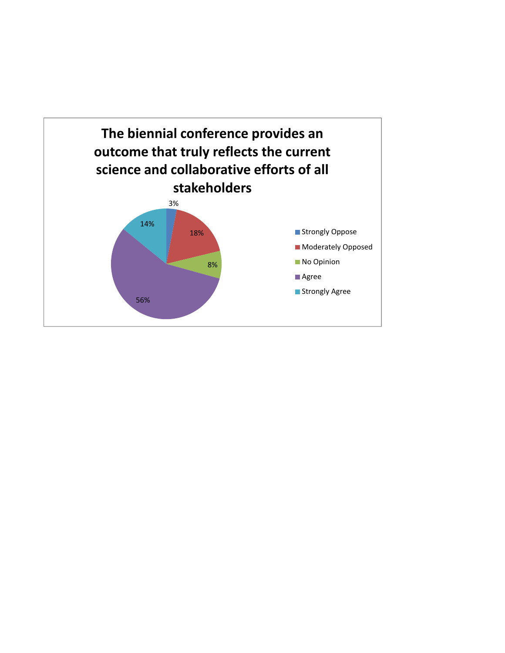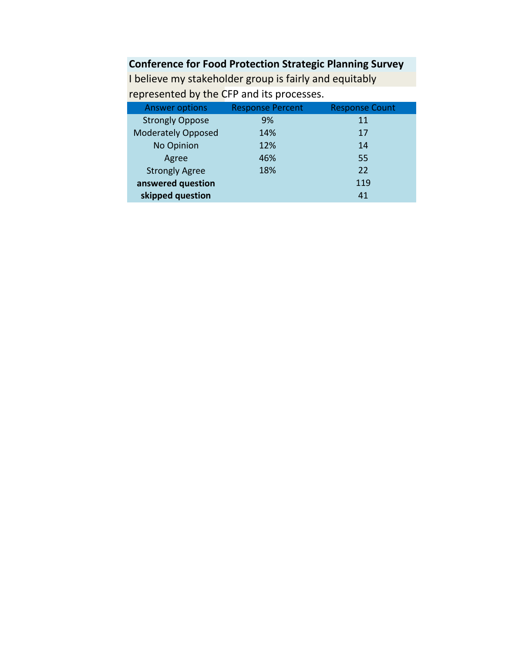| <b>Answer options</b>     | <b>Response Percent</b> | <b>Response Count</b> |
|---------------------------|-------------------------|-----------------------|
| <b>Strongly Oppose</b>    | 9%                      | 11                    |
| <b>Moderately Opposed</b> | 14%                     | 17                    |
| No Opinion                | 12%                     | 14                    |
| Agree                     | 46%                     | 55                    |
| <b>Strongly Agree</b>     | 18%                     | 22                    |
| answered question         |                         | 119                   |
| skipped question          |                         | 41                    |
|                           |                         |                       |

represented by the CFP and its processes. I believe my stakeholder group is fairly and equitably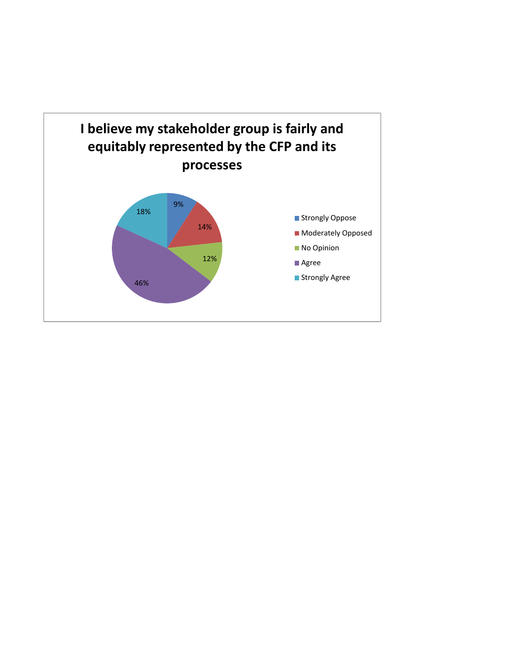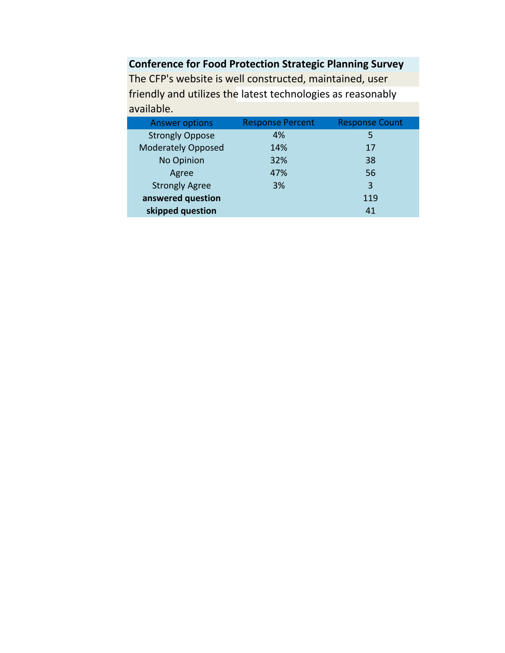friendly and utilizes the latest technologies as reasonably available. The CFP's website is well constructed, maintained, user

| <b>Answer options</b>     | <b>Response Percent</b> | <b>Response Count</b> |
|---------------------------|-------------------------|-----------------------|
| <b>Strongly Oppose</b>    | 4%                      | 5                     |
| <b>Moderately Opposed</b> | 14%                     | 17                    |
| No Opinion                | 32%                     | 38                    |
| Agree                     | 47%                     | 56                    |
| <b>Strongly Agree</b>     | 3%                      | 3                     |
| answered question         |                         | 119                   |
| skipped question          |                         | 41                    |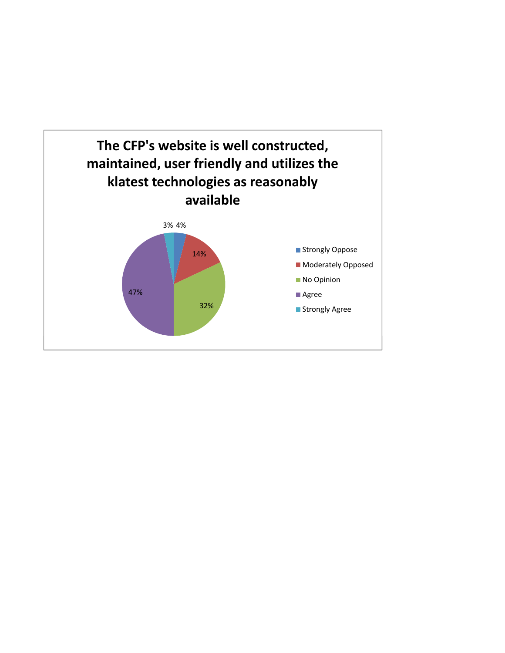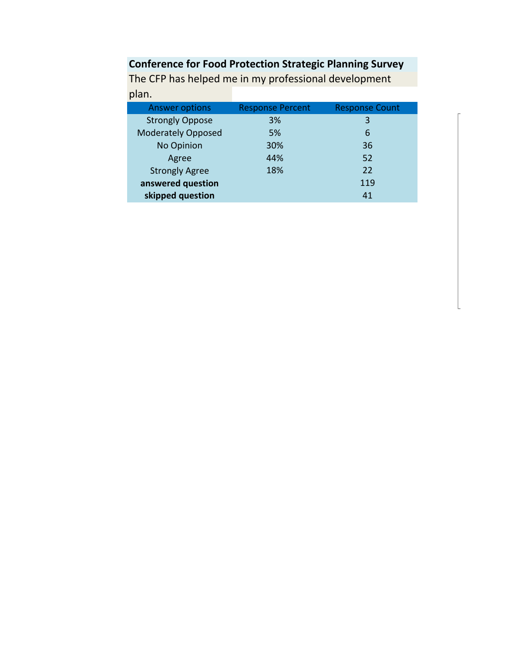| <b>Answer options</b>     | <b>Response Percent</b> | <b>Response Count</b> |
|---------------------------|-------------------------|-----------------------|
| <b>Strongly Oppose</b>    | 3%                      | 3                     |
| <b>Moderately Opposed</b> | 5%                      | 6                     |
| No Opinion                | 30%                     | 36                    |
| Agree                     | 44%                     | 52                    |
| <b>Strongly Agree</b>     | 18%                     | 22                    |
| answered question         |                         | 119                   |
| skipped question          |                         | 41                    |
|                           |                         |                       |

plan. The CFP has helped me in my professional development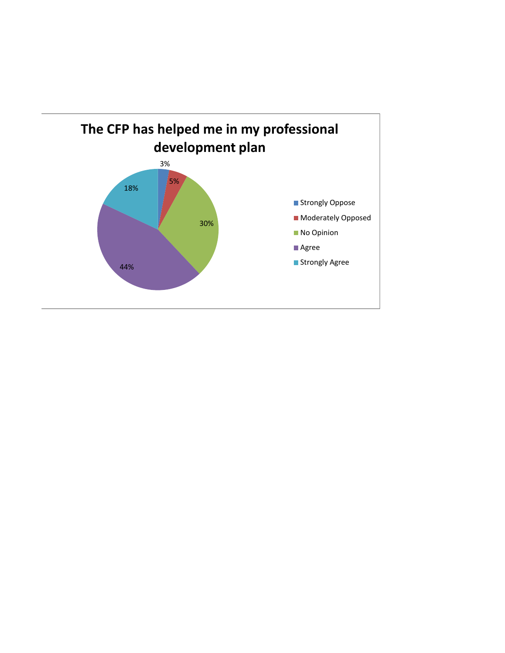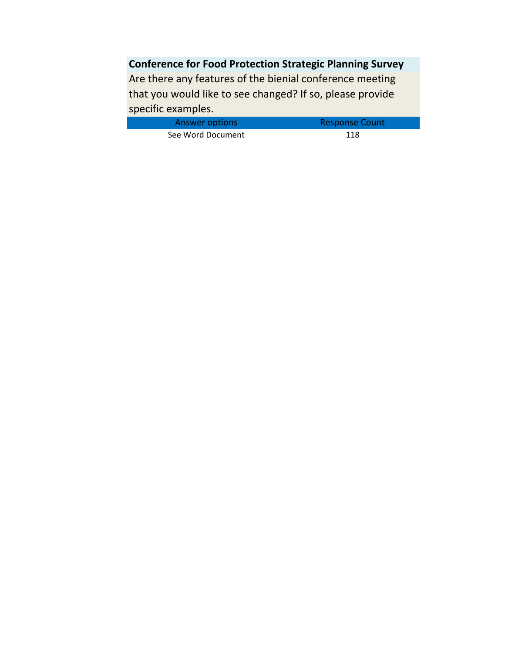## **Conference for Food Protection Strategic Planning Survey** Are there any features of the bienial conference meeting that you would like to see changed? If so, please provide

| specific examples. |                       |
|--------------------|-----------------------|
| Answer options     | <b>Response Count</b> |
| See Word Document  | 118                   |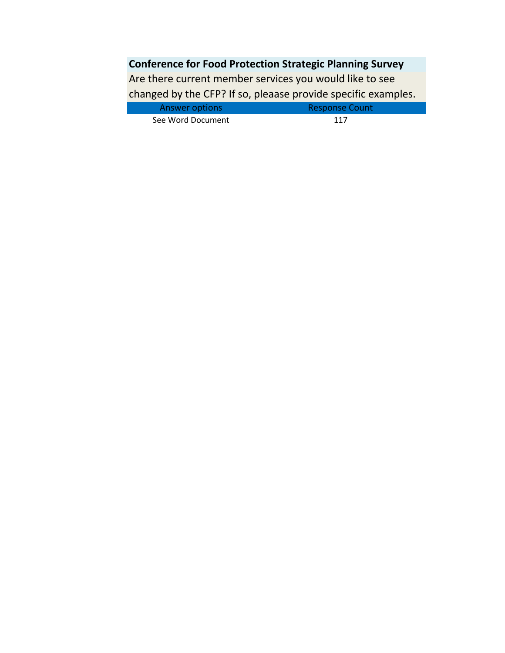| <b>Conference for Food Protection Strategic Planning Survey</b> |  |
|-----------------------------------------------------------------|--|
| Are there current member services you would like to see         |  |
| changed by the CFP? If so, pleaase provide specific examples.   |  |
| <b>Answer options</b><br><b>Response Count</b>                  |  |

See Word Document 117